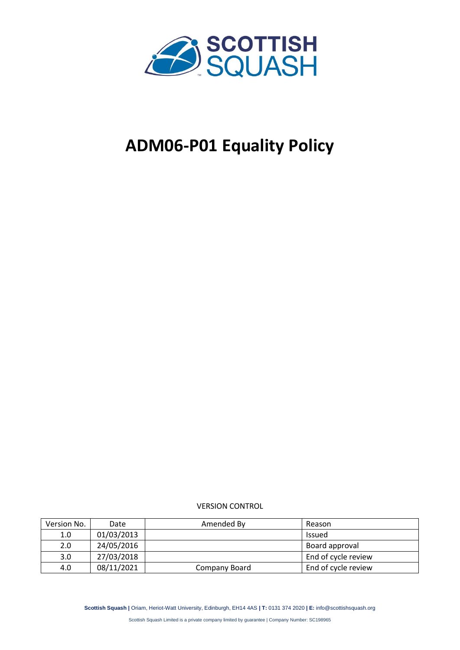

# **ADM06-P01 Equality Policy**

VERSION CONTROL

| Version No. | Date       | Amended By    | Reason              |
|-------------|------------|---------------|---------------------|
| 1.0         | 01/03/2013 |               | <b>Issued</b>       |
| 2.0         | 24/05/2016 |               | Board approval      |
| 3.0         | 27/03/2018 |               | End of cycle review |
| 4.0         | 08/11/2021 | Company Board | End of cycle review |

**Scottish Squash |** Oriam, Heriot-Watt University, Edinburgh, EH14 4AS **| T:** 0131 374 2020 **| E:** info@scottishsquash.org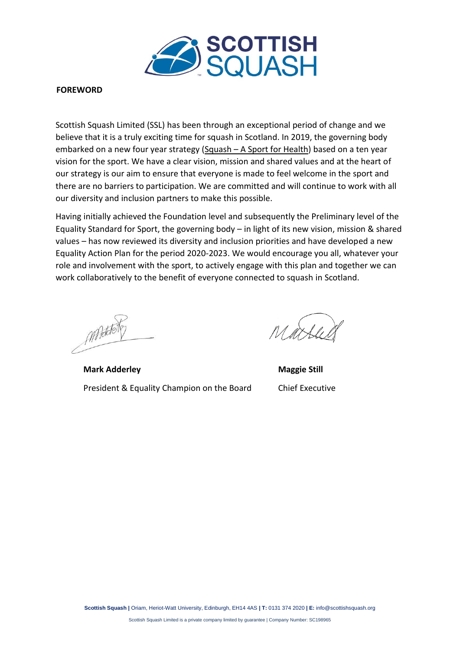

#### **FOREWORD**

Scottish Squash Limited (SSL) has been through an exceptional period of change and we believe that it is a truly exciting time for squash in Scotland. In 2019, the governing body embarked on a new four year strategy (Squash – [A Sport for Health\)](https://www.scottishsquash.org/wp-content/uploads/2019/04/ADM01-P02-Scottish-Squash-Strategic-Plan-2019-23-A-Sport-for-Health.pdf) based on a ten year vision for the sport. We have a clear vision, mission and shared values and at the heart of our strategy is our aim to ensure that everyone is made to feel welcome in the sport and there are no barriers to participation. We are committed and will continue to work with all our diversity and inclusion partners to make this possible.

Having initially achieved the Foundation level and subsequently the Preliminary level of the Equality Standard for Sport, the governing body – in light of its new vision, mission & shared values – has now reviewed its diversity and inclusion priorities and have developed a new Equality Action Plan for the period 2020-2023. We would encourage you all, whatever your role and involvement with the sport, to actively engage with this plan and together we can work collaboratively to the benefit of everyone connected to squash in Scotland.

MAddet

**Mark Adderley Maggie Still** President & Equality Champion on the Board Chief Executive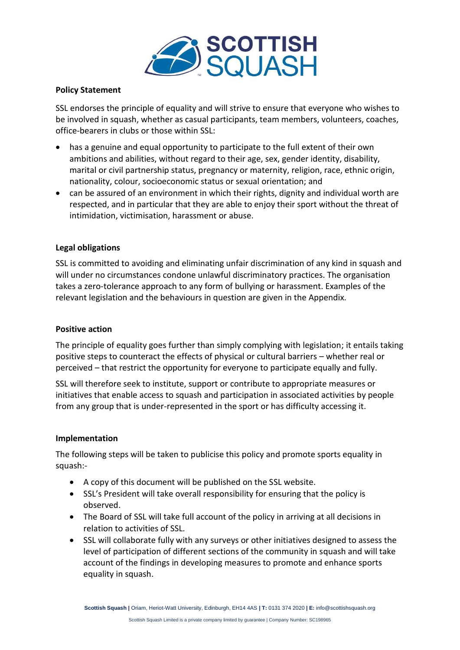

# **Policy Statement**

SSL endorses the principle of equality and will strive to ensure that everyone who wishes to be involved in squash, whether as casual participants, team members, volunteers, coaches, office-bearers in clubs or those within SSL:

- has a genuine and equal opportunity to participate to the full extent of their own ambitions and abilities, without regard to their age, sex, gender identity, disability, marital or civil partnership status, pregnancy or maternity, religion, race, ethnic origin, nationality, colour, socioeconomic status or sexual orientation; and
- can be assured of an environment in which their rights, dignity and individual worth are respected, and in particular that they are able to enjoy their sport without the threat of intimidation, victimisation, harassment or abuse.

# **Legal obligations**

SSL is committed to avoiding and eliminating unfair discrimination of any kind in squash and will under no circumstances condone unlawful discriminatory practices. The organisation takes a zero-tolerance approach to any form of bullying or harassment. Examples of the relevant legislation and the behaviours in question are given in the Appendix.

# **Positive action**

The principle of equality goes further than simply complying with legislation; it entails taking positive steps to counteract the effects of physical or cultural barriers – whether real or perceived – that restrict the opportunity for everyone to participate equally and fully.

SSL will therefore seek to institute, support or contribute to appropriate measures or initiatives that enable access to squash and participation in associated activities by people from any group that is under-represented in the sport or has difficulty accessing it.

# **Implementation**

The following steps will be taken to publicise this policy and promote sports equality in squash:-

- A copy of this document will be published on the SSL website.
- SSL's President will take overall responsibility for ensuring that the policy is observed.
- The Board of SSL will take full account of the policy in arriving at all decisions in relation to activities of SSL.
- SSL will collaborate fully with any surveys or other initiatives designed to assess the level of participation of different sections of the community in squash and will take account of the findings in developing measures to promote and enhance sports equality in squash.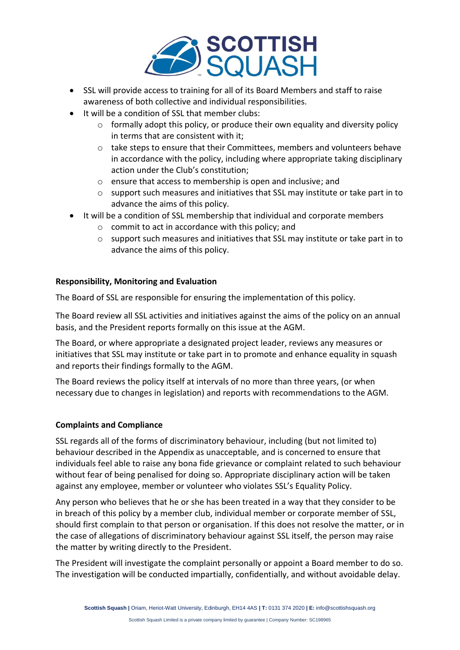

- SSL will provide access to training for all of its Board Members and staff to raise awareness of both collective and individual responsibilities.
- It will be a condition of SSL that member clubs:
	- $\circ$  formally adopt this policy, or produce their own equality and diversity policy in terms that are consistent with it;
	- o take steps to ensure that their Committees, members and volunteers behave in accordance with the policy, including where appropriate taking disciplinary action under the Club's constitution;
	- o ensure that access to membership is open and inclusive; and
	- $\circ$  support such measures and initiatives that SSL may institute or take part in to advance the aims of this policy.
- It will be a condition of SSL membership that individual and corporate members
	- o commit to act in accordance with this policy; and
	- $\circ$  support such measures and initiatives that SSL may institute or take part in to advance the aims of this policy.

# **Responsibility, Monitoring and Evaluation**

The Board of SSL are responsible for ensuring the implementation of this policy.

The Board review all SSL activities and initiatives against the aims of the policy on an annual basis, and the President reports formally on this issue at the AGM.

The Board, or where appropriate a designated project leader, reviews any measures or initiatives that SSL may institute or take part in to promote and enhance equality in squash and reports their findings formally to the AGM.

The Board reviews the policy itself at intervals of no more than three years, (or when necessary due to changes in legislation) and reports with recommendations to the AGM.

# **Complaints and Compliance**

SSL regards all of the forms of discriminatory behaviour, including (but not limited to) behaviour described in the Appendix as unacceptable, and is concerned to ensure that individuals feel able to raise any bona fide grievance or complaint related to such behaviour without fear of being penalised for doing so. Appropriate disciplinary action will be taken against any employee, member or volunteer who violates SSL's Equality Policy.

Any person who believes that he or she has been treated in a way that they consider to be in breach of this policy by a member club, individual member or corporate member of SSL, should first complain to that person or organisation. If this does not resolve the matter, or in the case of allegations of discriminatory behaviour against SSL itself, the person may raise the matter by writing directly to the President.

The President will investigate the complaint personally or appoint a Board member to do so. The investigation will be conducted impartially, confidentially, and without avoidable delay.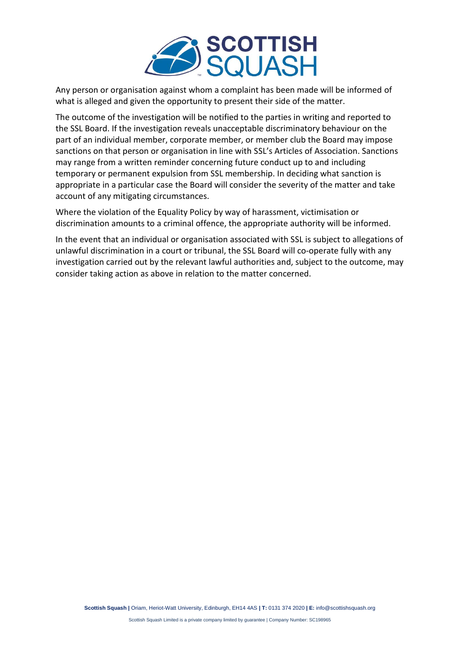

Any person or organisation against whom a complaint has been made will be informed of what is alleged and given the opportunity to present their side of the matter.

The outcome of the investigation will be notified to the parties in writing and reported to the SSL Board. If the investigation reveals unacceptable discriminatory behaviour on the part of an individual member, corporate member, or member club the Board may impose sanctions on that person or organisation in line with SSL's Articles of Association. Sanctions may range from a written reminder concerning future conduct up to and including temporary or permanent expulsion from SSL membership. In deciding what sanction is appropriate in a particular case the Board will consider the severity of the matter and take account of any mitigating circumstances.

Where the violation of the Equality Policy by way of harassment, victimisation or discrimination amounts to a criminal offence, the appropriate authority will be informed.

In the event that an individual or organisation associated with SSL is subject to allegations of unlawful discrimination in a court or tribunal, the SSL Board will co-operate fully with any investigation carried out by the relevant lawful authorities and, subject to the outcome, may consider taking action as above in relation to the matter concerned.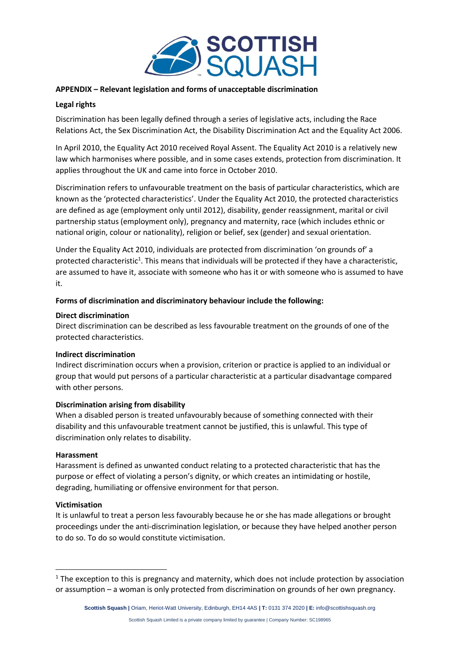

## **APPENDIX – Relevant legislation and forms of unacceptable discrimination**

## **Legal rights**

Discrimination has been legally defined through a series of legislative acts, including the Race Relations Act, the Sex Discrimination Act, the Disability Discrimination Act and the Equality Act 2006.

In April 2010, the Equality Act 2010 received Royal Assent. The Equality Act 2010 is a relatively new law which harmonises where possible, and in some cases extends, protection from discrimination. It applies throughout the UK and came into force in October 2010.

Discrimination refers to unfavourable treatment on the basis of particular characteristics, which are known as the 'protected characteristics'. Under the Equality Act 2010, the protected characteristics are defined as age (employment only until 2012), disability, gender reassignment, marital or civil partnership status (employment only), pregnancy and maternity, race (which includes ethnic or national origin, colour or nationality), religion or belief, sex (gender) and sexual orientation.

Under the Equality Act 2010, individuals are protected from discrimination 'on grounds of' a protected characteristic<sup>1</sup>. This means that individuals will be protected if they have a characteristic, are assumed to have it, associate with someone who has it or with someone who is assumed to have it.

### **Forms of discrimination and discriminatory behaviour include the following:**

### **Direct discrimination**

Direct discrimination can be described as less favourable treatment on the grounds of one of the protected characteristics.

### **Indirect discrimination**

Indirect discrimination occurs when a provision, criterion or practice is applied to an individual or group that would put persons of a particular characteristic at a particular disadvantage compared with other persons.

### **Discrimination arising from disability**

When a disabled person is treated unfavourably because of something connected with their disability and this unfavourable treatment cannot be justified, this is unlawful. This type of discrimination only relates to disability.

#### **Harassment**

Harassment is defined as unwanted conduct relating to a protected characteristic that has the purpose or effect of violating a person's dignity, or which creates an intimidating or hostile, degrading, humiliating or offensive environment for that person.

### **Victimisation**

It is unlawful to treat a person less favourably because he or she has made allegations or brought proceedings under the anti-discrimination legislation, or because they have helped another person to do so. To do so would constitute victimisation.

 $<sup>1</sup>$  The exception to this is pregnancy and maternity, which does not include protection by association</sup> or assumption – a woman is only protected from discrimination on grounds of her own pregnancy.